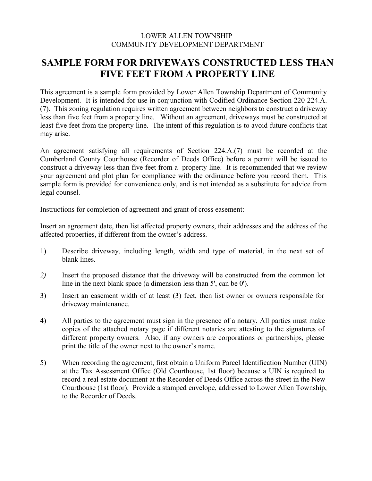# LOWER ALLEN TOWNSHIP COMMUNITY DEVELOPMENT DEPARTMENT

# **SAMPLE FORM FOR DRIVEWAYS CONSTRUCTED LESS THAN FIVE FEET FROM A PROPERTY LINE**

This agreement is a sample form provided by Lower Allen Township Department of Community Development. It is intended for use in conjunction with Codified Ordinance Section 220-224.A. (7). This zoning regulation requires written agreement between neighbors to construct a driveway less than five feet from a property line. Without an agreement, driveways must be constructed at least five feet from the property line. The intent of this regulation is to avoid future conflicts that may arise.

An agreement satisfying all requirements of Section 224.A.(7) must be recorded at the Cumberland County Courthouse (Recorder of Deeds Office) before a permit will be issued to construct a driveway less than five feet from a property line. It is recommended that we review your agreement and plot plan for compliance with the ordinance before you record them. This sample form is provided for convenience only, and is not intended as a substitute for advice from legal counsel.

Instructions for completion of agreement and grant of cross easement:

Insert an agreement date, then list affected property owners, their addresses and the address of the affected properties, if different from the owner's address.

- 1) Describe driveway, including length, width and type of material, in the next set of blank lines.
- *2)* Insert the proposed distance that the driveway will be constructed from the common lot line in the next blank space (a dimension less than 5', can be 0').
- 3) Insert an easement width of at least (3) feet, then list owner or owners responsible for driveway maintenance.
- 4) All parties to the agreement must sign in the presence of a notary. All parties must make copies of the attached notary page if different notaries are attesting to the signatures of different property owners. Also, if any owners are corporations or partnerships, please print the title of the owner next to the owner's name.
- 5) When recording the agreement, first obtain a Uniform Parcel Identification Number (UIN) at the Tax Assessment Office (Old Courthouse, 1st floor) because a UIN is required to record a real estate document at the Recorder of Deeds Office across the street in the New Courthouse (1st floor). Provide a stamped envelope, addressed to Lower Allen Township, to the Recorder of Deeds.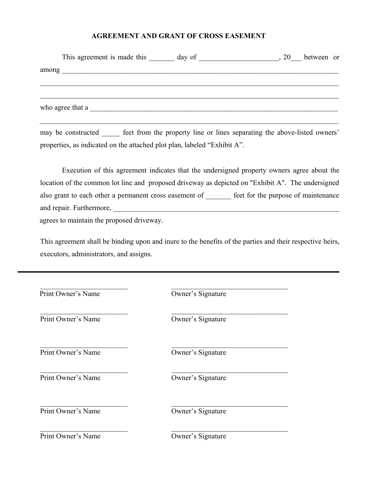#### **AGREEMENT AND GRANT OF CROSS EASEMENT**

|       | This agreement is made this day of         | 20 | between or |
|-------|--------------------------------------------|----|------------|
| among | <u> 2001 - Johann Stein, mars et al. (</u> |    |            |
|       |                                            |    |            |
|       |                                            |    |            |
|       | who agree that a                           |    |            |
|       |                                            |    |            |

may be constructed \_\_\_\_\_ feet from the property line or lines separating the above-listed owners' properties, as indicated on the attached plot plan, labeled "Exhibit A".

Execution of this agreement indicates that the undersigned property owners agree about the location of the common lot line and proposed driveway as depicted on "Exhibit A". The undersigned also grant to each other a permanent cross easement of \_\_\_\_\_\_\_ feet for the purpose of maintenance and repair. Furthermore, \_\_\_\_\_\_\_\_\_\_\_\_\_\_\_\_\_\_\_\_\_\_\_\_\_\_\_\_\_\_\_\_\_\_\_\_\_\_\_\_\_\_\_\_\_\_\_\_\_\_\_\_\_\_\_\_\_\_\_\_\_\_ agrees to maintain the proposed driveway.

This agreement shall be binding upon and inure to the benefits of the parties and their respective heirs, executors, administrators, and assigns.

| Print Owner's Name | Owner's Signature |  |
|--------------------|-------------------|--|
| Print Owner's Name | Owner's Signature |  |
| Print Owner's Name | Owner's Signature |  |
| Print Owner's Name | Owner's Signature |  |
| Print Owner's Name | Owner's Signature |  |
| Print Owner's Name | Owner's Signature |  |